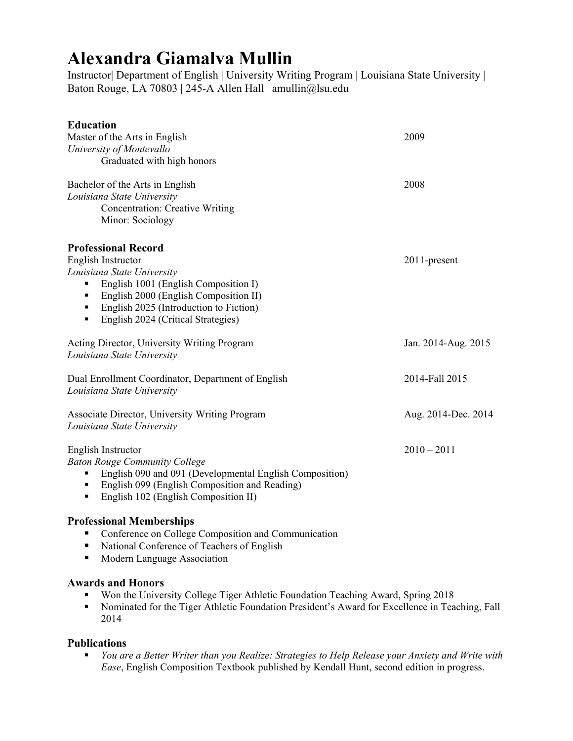# **Alexandra Giamalva Mullin**

Instructor| Department of English | University Writing Program | Louisiana State University | Baton Rouge, LA 70803 | 245-A Allen Hall | amullin@lsu.edu

| <b>Education</b>                                        |                     |
|---------------------------------------------------------|---------------------|
| Master of the Arts in English                           | 2009                |
| University of Montevallo                                |                     |
| Graduated with high honors                              |                     |
| Bachelor of the Arts in English                         | 2008                |
| Louisiana State University                              |                     |
| <b>Concentration: Creative Writing</b>                  |                     |
| Minor: Sociology                                        |                     |
| <b>Professional Record</b>                              |                     |
| English Instructor                                      | 2011-present        |
| Louisiana State University                              |                     |
| English 1001 (English Composition I)<br>٠               |                     |
| English 2000 (English Composition II)<br>٠              |                     |
| English 2025 (Introduction to Fiction)<br>٠             |                     |
| English 2024 (Critical Strategies)<br>٠                 |                     |
| Acting Director, University Writing Program             | Jan. 2014-Aug. 2015 |
| Louisiana State University                              |                     |
| Dual Enrollment Coordinator, Department of English      | 2014-Fall 2015      |
| Louisiana State University                              |                     |
| <b>Associate Director, University Writing Program</b>   | Aug. 2014-Dec. 2014 |
| Louisiana State University                              |                     |
| English Instructor                                      | $2010 - 2011$       |
| <b>Baton Rouge Community College</b>                    |                     |
| English 090 and 091 (Developmental English Composition) |                     |
| English 099 (English Composition and Reading)<br>٠      |                     |
| English 102 (English Composition II)<br>٠               |                     |

## **Professional Memberships**

- Conference on College Composition and Communication
- National Conference of Teachers of English
- **Modern Language Association**

## **Awards and Honors**

- **Won the University College Tiger Athletic Foundation Teaching Award, Spring 2018**
- Nominated for the Tiger Athletic Foundation President's Award for Excellence in Teaching, Fall 2014

## **Publications**

 *You are a Better Writer than you Realize: Strategies to Help Release your Anxiety and Write with Ease*, English Composition Textbook published by Kendall Hunt, second edition in progress.